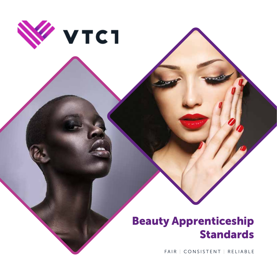

#### Beauty Apprenticeship Standards

FAIR | CONSISTENT | RELIABLE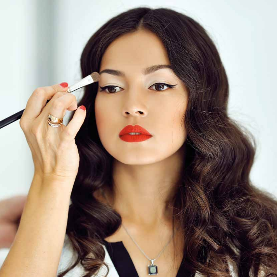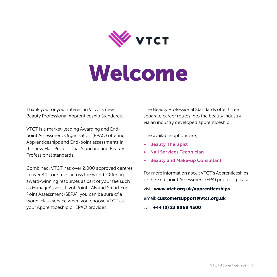

# Welcome

Thank you for your interest in VTCT's new Beauty Professional Apprenticeship Standards.

VTCT is a market-leading Awarding and Endpoint Assessment Organisation (EPAO) offering Apprenticeships and End-point assessments in the new Hair Professional Standard and Beauty Professional standards.

Combined, VTCT has over 2,000 approved centres in over 40 countries across the world. Offering award-winning resources as part of your fee such as ManageAssess, Pivot Point LAB and Smart End Point Assessment (SEPA), you can be sure of a world-class service when you choose VTCT as your Apprenticeship or EPAO provider.

The Beauty Professional Standards offer three separate career routes into the beauty industry via an industry developed apprenticeship.

The available options are;

- Beauty Therapist
- Nail Services Technician
- Beauty and Make-up Consultant

For more information about VTCT's Apprenticeships or the End-point Assessment (EPA) process, please visit: www.vtct.org.uk/apprenticeships

email: customersupport@vtct.org.uk call: +44 (0) 23 8068 4500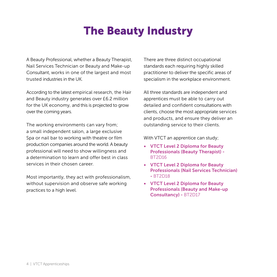### The Beauty Industry

A Beauty Professional, whether a Beauty Therapist, Nail Services Technician or Beauty and Make-up Consultant, works in one of the largest and most trusted industries in the UK.

According to the latest empirical research, the Hair and Beauty industry generates over £6.2 million for the UK economy, and this is projected to grow over the coming years.

The working environments can vary from; a small independent salon, a large exclusive Spa or nail bar to working with theatre or film production companies around the world. A beauty professional will need to show willingness and a determination to learn and offer best in class services in their chosen career.

Most importantly, they act with professionalism, without supervision and observe safe working practices to a high level.

There are three distinct occupational standards each requiring highly skilled practitioner to deliver the specific areas of specialism in the workplace environment.

All three standards are independent and apprentices must be able to carry out detailed and confident consultations with clients, choose the most appropriate services and products, and ensure they deliver an outstanding service to their clients.

With VTCT an apprentice can study;

- VTCT Level 2 Diploma for Beauty Professionals (Beauty Therapist) - BT2D16
- VTCT Level 2 Diploma for Beauty Professionals (Nail Services Technician) - BT2D18
- VTCT Level 2 Diploma for Beauty Professionals (Beauty and Make-up Consultancy) - BT2D17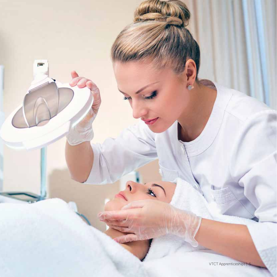

**FWW**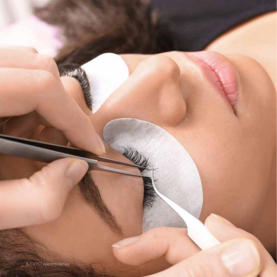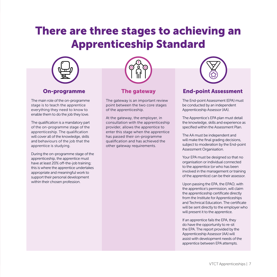### There are three stages to achieving an Apprenticeship Standard



#### On-programme

The main role of the on-programme stage is to teach the apprentice everything they need to know to enable them to do the job they love.

The qualification is a mandatory part of the on-programme stage of the apprenticeship. The qualification will cover all of the knowledge, skills and behaviours of the job that the apprentice is studying.

During the on-programme stage of the apprenticeship, the apprentice must have at least 20% off-the-job training; this is where the apprentice undertakes appropriate and meaningful work to support their personal development within their chosen profession.



The gateway is an important review point between the two core stages of the apprenticeship.

At the gateway, the employer, in consultation with the apprenticeship provider, allows the apprentice to enter this stage when the apprentice has passed their on-programme qualification and has achieved the other gateway requirements.



#### The gateway End-point Assessment

The End-point Assessment (EPA) must be conducted by an independent Apprenticeship Assessor (AA).

The Apprentice's EPA plan must detail the knowledge, skills and experience as specified within the Assessment Plan.

The AA must be independent and will make the final grading decisions, subject to moderation by the End-point Assessment Organisation.

Your EPA must be designed so that no organisation or individual connected to the apprentice (or who has been involved in the management or training of the apprentice) can be their assessor.

Upon passing the EPA, the EPAO, with the apprentice's permission, will claim the apprenticeship certificate directly from the Institute for Apprenticeships and Technical Education. The certificate will be sent directly to the employer who will present it to the apprentice.

If an apprentice fails the EPA, they do have the opportunity to re-sit the EPA. The report provided by the Apprenticeship Assessor (AA) will assist with development needs of the apprentice between EPA attempts.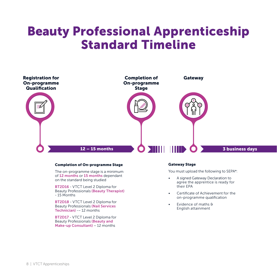### Beauty Professional Apprenticeship Standard Timeline



#### Completion of On-programme Stage

The on-programme stage is a minimum of 12 months or 15 months dependant on the standard being studied

BT2D16 - VTCT Level 2 Diploma for Beauty Professionals (Beauty Therapist) - 15 Months

BT2D18 - VTCT Level 2 Diploma for Beauty Professionals (Nail Services Technician) -– 12 months

BT2D17 - VTCT Level 2 Diploma for Beauty Professionals (Beauty and Make-up Consultant) – 12 months

#### Gateway Stage

You must upload the following to SEPA\*:

- A signed Gateway Declaration to agree the apprentice is ready for their EPA
- Certificate of Achievement for the on-programme qualification
- Evidence of maths & English attainment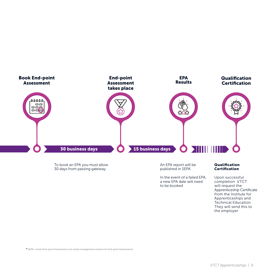

To book an EPA you must allow 30 days from passing gateway

An EPA report will be published in SEPA

In the event of a failed EPA, a new EPA date will need to be booked

#### Qualification **Certification**

Upon successful completion VTCT will request the Apprenticeship Certificate from the Institute for Apprenticeships and Technical Education. They will send this to the employer

\* SEPA = Smart End-point Assessment is an online management solution for End-point Assessments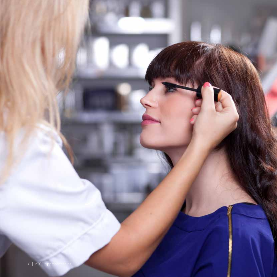10 | VTCT Appr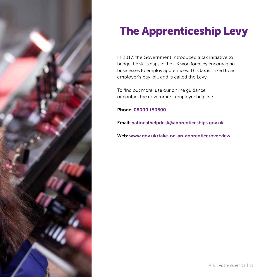

## The Apprenticeship Levy

In 2017, the Government introduced a tax initiative to bridge the skills gaps in the UK workforce by encouraging businesses to employ apprentices. This tax is linked to an employer's pay-bill and is called the Levy.

To find out more, use our online guidance or contact the government employer helpline:

#### Phone: 08000 150600

Email: nationalhelpdesk@apprenticeships.gov.uk

Web: www.gov.uk/take-on-an-apprentice/overview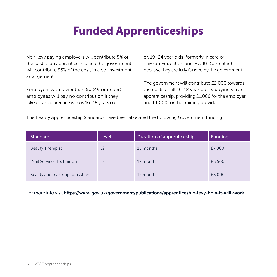### Funded Apprenticeships

Non-levy paying employers will contribute 5% of the cost of an apprenticeship and the government will contribute 95% of the cost, in a co-investment arrangement.

Employers with fewer than 50 (49 or under) employees will pay no contribution if they take on an apprentice who is 16–18 years old,

or, 19–24 year olds (formerly in care or have an Education and Health Care plan) because they are fully funded by the government.

The government will contribute £2,000 towards the costs of all 16-18 year olds studying via an apprenticeship, providing £1,000 for the employer and £1,000 for the training provider.

The Beauty Apprenticeship Standards have been allocated the following Government funding:

| <b>Standard</b>               | Level          | Duration of apprenticeship | <b>Funding</b> |
|-------------------------------|----------------|----------------------------|----------------|
| <b>Beauty Therapist</b>       | L <sub>2</sub> | 15 months                  | £7,000         |
| Nail Services Technician      | L <sub>2</sub> | 12 months                  | £3,500         |
| Beauty and make-up consultant | L <sub>2</sub> | 12 months                  | £3,000         |

For more info visit https://www.gov.uk/government/publications/apprenticeship-levy-how-it-will-work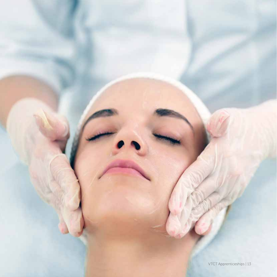VTCT Apprenticeships | 13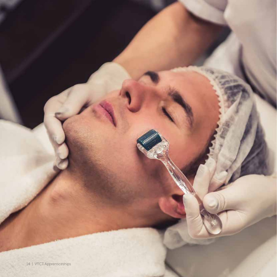14 | VTCT Apprenticeships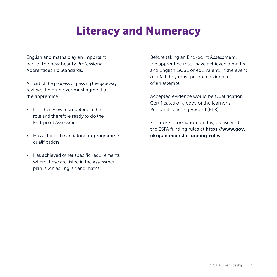### Literacy and Numeracy

English and maths play an important part of the new Beauty Professional Apprenticeship Standards.

As part of the process of passing the gateway review, the employer must agree that the apprentice:

- Is in their view, competent in the role and therefore ready to do the End-point Assessment
- Has achieved mandatory on-programme qualification
- Has achieved other specific requirements where these are listed in the assessment plan, such as English and maths

Before taking an End-point Assessment, the apprentice must have achieved a maths and English GCSE or equivalent. In the event of a fail they must produce evidence of an attempt.

Accepted evidence would be Qualification Certificates or a copy of the learner's Personal Learning Record (PLR).

For more information on this, please visit the ESFA funding rules at https://www.gov. uk/guidance/sfa-funding-rules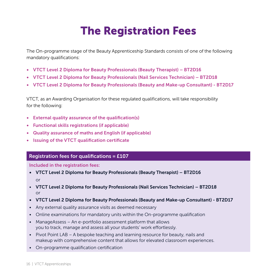### The Registration Fees

The On-programme stage of the Beauty Apprenticeship Standards consists of one of the following mandatory qualifications:

- VTCT Level 2 Diploma for Beauty Professionals (Beauty Therapist) BT2D16
- VTCT Level 2 Diploma for Beauty Professionals (Nail Services Technician) BT2D18
- VTCT Level 2 Diploma for Beauty Professionals (Beauty and Make-up Consultant) BT2D17

VTCT, as an Awarding Organisation for these regulated qualifications, will take responsibility for the following:

- External quality assurance of the qualification(s)
- Functional skills registrations (if applicable)
- Quality assurance of maths and English (if applicable)
- Issuing of the VTCT qualification certificate

#### Registration fees for qualifications = £107

Included in the registration fees:

- VTCT Level 2 Diploma for Beauty Professionals (Beauty Therapist) BT2D16 or
- VTCT Level 2 Diploma for Beauty Professionals (Nail Services Technician) BT2D18 or
- VTCT Level 2 Diploma for Beauty Professionals (Beauty and Make-up Consultant) BT2D17
- Any external quality assurance visits as deemed necessary
- Online examinations for mandatory units within the On-programme qualification
- ManageAssess An e-portfolio assessment platform that allows you to track, manage and assess all your students' work effortlessly.
- Pivot Point LAB A bespoke teaching and learning resource for beauty, nails and makeup with comprehensive content that allows for elevated classroom experiences.
- On-programme qualification certification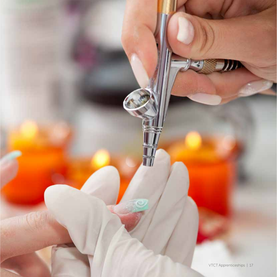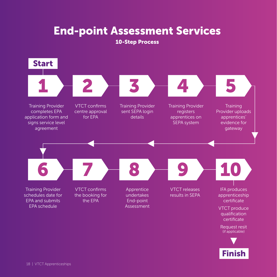#### End-point Assessment Services

10-Step Process

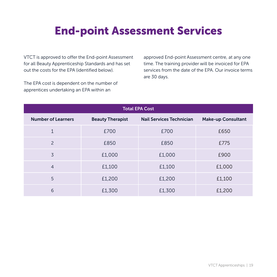### End-point Assessment Services

VTCT is approved to offer the End-point Assessment for all Beauty Apprenticeship Standards and has set out the costs for the EPA (identified below).

The EPA cost is dependent on the number of apprentices undertaking an EPA within an

approved End-point Assessment centre, at any one time. The training provider will be invoiced for EPA services from the date of the EPA. Our invoice terms are 30 days.

| <b>Total EPA Cost</b>     |                         |                                 |                           |  |
|---------------------------|-------------------------|---------------------------------|---------------------------|--|
| <b>Number of Learners</b> | <b>Beauty Therapist</b> | <b>Nail Services Technician</b> | <b>Make-up Consultant</b> |  |
|                           | £700                    | £700                            | £650                      |  |
| $\mathcal{P}$             | £850                    | £850                            | £775                      |  |
| 3                         | £1,000                  | £1,000                          | £900                      |  |
| $\overline{4}$            | £1,100                  | £1,100                          | £1,000                    |  |
| 5                         | £1,200                  | £1,200                          | £1,100                    |  |
| 6                         | £1,300                  | £1,300                          | £1,200                    |  |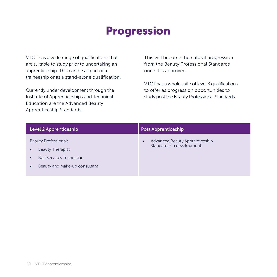#### Progression

VTCT has a wide range of qualifications that are suitable to study prior to undertaking an apprenticeship. This can be as part of a traineeship or as a stand-alone qualification.

Currently under development through the Institute of Apprenticeships and Technical Education are the Advanced Beauty Apprenticeship Standards.

This will become the natural progression from the Beauty Professional Standards once it is approved.

VTCT has a whole suite of level 3 qualifications to offer as progression opportunities to study post the Beauty Professional Standards.

| <b>Post Apprenticeship</b>     |  |
|--------------------------------|--|
| Advanced Beauty Apprenticeship |  |
| Standards (in development)     |  |
|                                |  |
|                                |  |
|                                |  |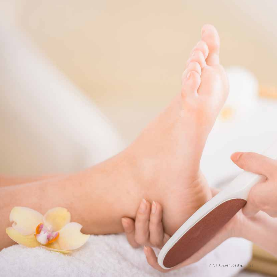VTCT Apprenticeships | 21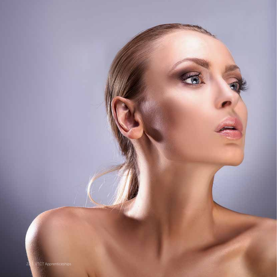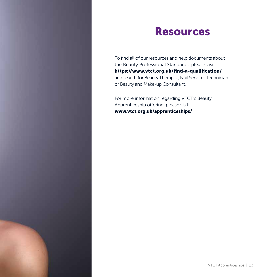#### Resources

To find all of our resources and help documents about the Beauty Professional Standards, please visit: https://www.vtct.org.uk/find-a-qualification/ and search for Beauty Therapist, Nail Services Technician or Beauty and Make-up Consultant.

For more information regarding VTCT's Beauty Apprenticeship offering, please visit: www.vtct.org.uk/apprenticeships/